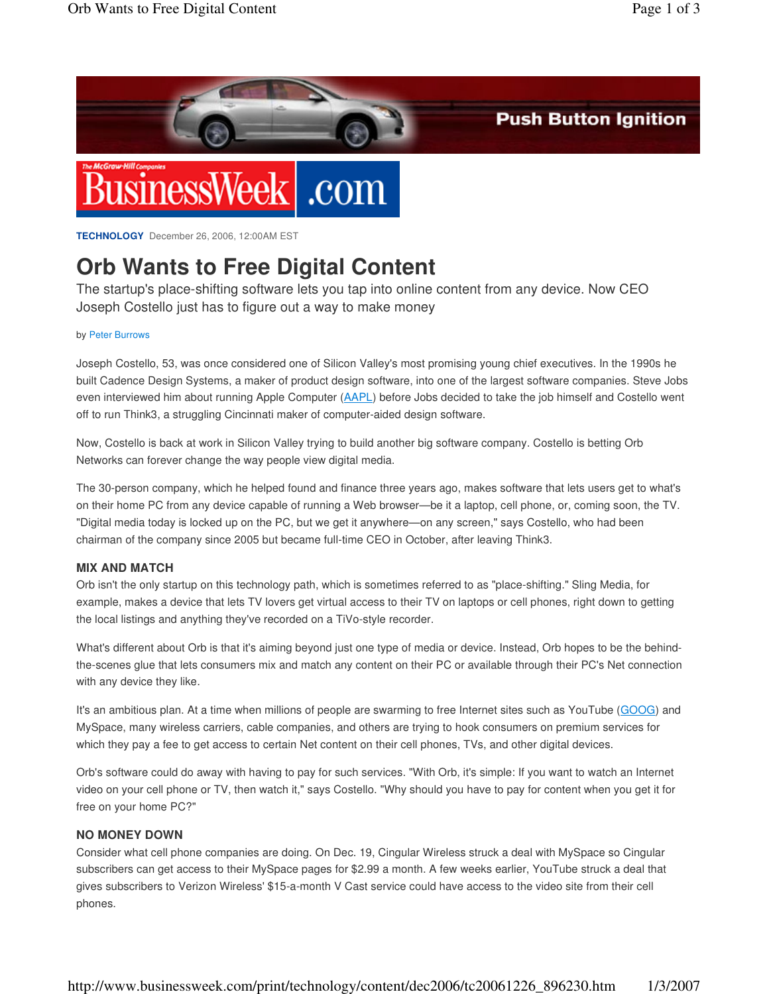

**TECHNOLOGY** December 26, 2006, 12:00AM EST

# **Orb Wants to Free Digital Content**

The startup's place-shifting software lets you tap into online content from any device. Now CEO Joseph Costello just has to figure out a way to make money

#### by Peter Burrows

Joseph Costello, 53, was once considered one of Silicon Valley's most promising young chief executives. In the 1990s he built Cadence Design Systems, a maker of product design software, into one of the largest software companies. Steve Jobs even interviewed him about running Apple Computer (AAPL) before Jobs decided to take the job himself and Costello went off to run Think3, a struggling Cincinnati maker of computer-aided design software.

Now, Costello is back at work in Silicon Valley trying to build another big software company. Costello is betting Orb Networks can forever change the way people view digital media.

The 30-person company, which he helped found and finance three years ago, makes software that lets users get to what's on their home PC from any device capable of running a Web browser—be it a laptop, cell phone, or, coming soon, the TV. "Digital media today is locked up on the PC, but we get it anywhere—on any screen," says Costello, who had been chairman of the company since 2005 but became full-time CEO in October, after leaving Think3.

## **MIX AND MATCH**

Orb isn't the only startup on this technology path, which is sometimes referred to as "place-shifting." Sling Media, for example, makes a device that lets TV lovers get virtual access to their TV on laptops or cell phones, right down to getting the local listings and anything they've recorded on a TiVo-style recorder.

What's different about Orb is that it's aiming beyond just one type of media or device. Instead, Orb hopes to be the behindthe-scenes glue that lets consumers mix and match any content on their PC or available through their PC's Net connection with any device they like.

It's an ambitious plan. At a time when millions of people are swarming to free Internet sites such as YouTube (GOOG) and MySpace, many wireless carriers, cable companies, and others are trying to hook consumers on premium services for which they pay a fee to get access to certain Net content on their cell phones, TVs, and other digital devices.

Orb's software could do away with having to pay for such services. "With Orb, it's simple: If you want to watch an Internet video on your cell phone or TV, then watch it," says Costello. "Why should you have to pay for content when you get it for free on your home PC?"

## **NO MONEY DOWN**

Consider what cell phone companies are doing. On Dec. 19, Cingular Wireless struck a deal with MySpace so Cingular subscribers can get access to their MySpace pages for \$2.99 a month. A few weeks earlier, YouTube struck a deal that gives subscribers to Verizon Wireless' \$15-a-month V Cast service could have access to the video site from their cell phones.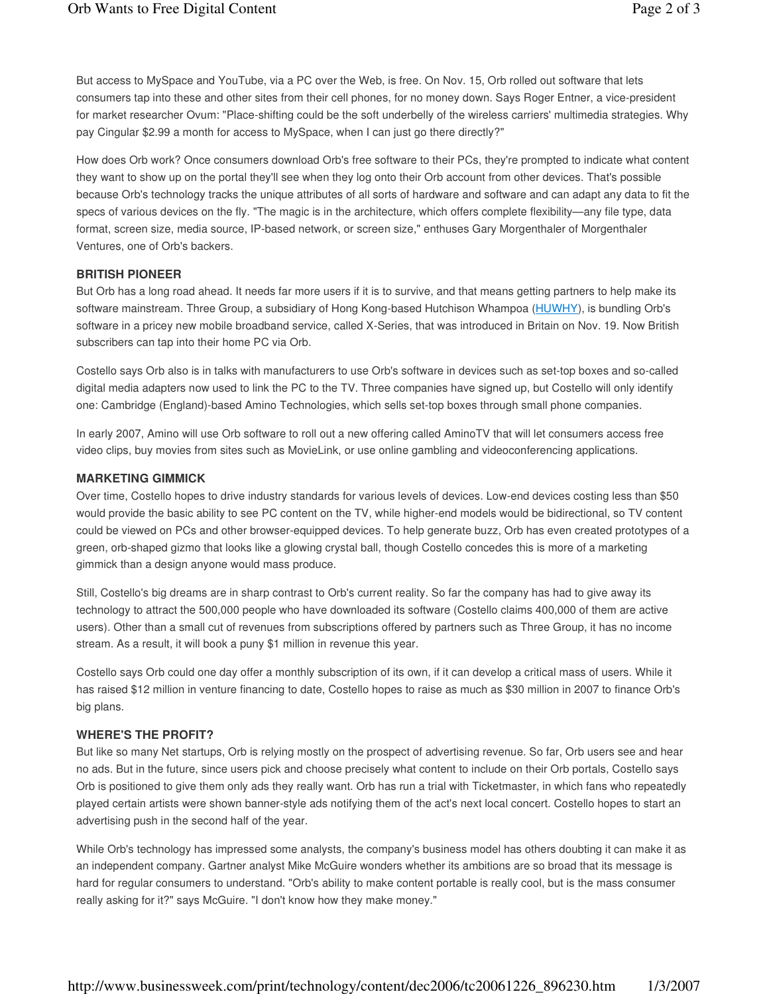But access to MySpace and YouTube, via a PC over the Web, is free. On Nov. 15, Orb rolled out software that lets consumers tap into these and other sites from their cell phones, for no money down. Says Roger Entner, a vice-president for market researcher Ovum: "Place-shifting could be the soft underbelly of the wireless carriers' multimedia strategies. Why pay Cingular \$2.99 a month for access to MySpace, when I can just go there directly?"

How does Orb work? Once consumers download Orb's free software to their PCs, they're prompted to indicate what content they want to show up on the portal they'll see when they log onto their Orb account from other devices. That's possible because Orb's technology tracks the unique attributes of all sorts of hardware and software and can adapt any data to fit the specs of various devices on the fly. "The magic is in the architecture, which offers complete flexibility—any file type, data format, screen size, media source, IP-based network, or screen size," enthuses Gary Morgenthaler of Morgenthaler Ventures, one of Orb's backers.

## **BRITISH PIONEER**

But Orb has a long road ahead. It needs far more users if it is to survive, and that means getting partners to help make its software mainstream. Three Group, a subsidiary of Hong Kong-based Hutchison Whampoa (HUWHY), is bundling Orb's software in a pricey new mobile broadband service, called X-Series, that was introduced in Britain on Nov. 19. Now British subscribers can tap into their home PC via Orb.

Costello says Orb also is in talks with manufacturers to use Orb's software in devices such as set-top boxes and so-called digital media adapters now used to link the PC to the TV. Three companies have signed up, but Costello will only identify one: Cambridge (England)-based Amino Technologies, which sells set-top boxes through small phone companies.

In early 2007, Amino will use Orb software to roll out a new offering called AminoTV that will let consumers access free video clips, buy movies from sites such as MovieLink, or use online gambling and videoconferencing applications.

#### **MARKETING GIMMICK**

Over time, Costello hopes to drive industry standards for various levels of devices. Low-end devices costing less than \$50 would provide the basic ability to see PC content on the TV, while higher-end models would be bidirectional, so TV content could be viewed on PCs and other browser-equipped devices. To help generate buzz, Orb has even created prototypes of a green, orb-shaped gizmo that looks like a glowing crystal ball, though Costello concedes this is more of a marketing gimmick than a design anyone would mass produce.

Still, Costello's big dreams are in sharp contrast to Orb's current reality. So far the company has had to give away its technology to attract the 500,000 people who have downloaded its software (Costello claims 400,000 of them are active users). Other than a small cut of revenues from subscriptions offered by partners such as Three Group, it has no income stream. As a result, it will book a puny \$1 million in revenue this year.

Costello says Orb could one day offer a monthly subscription of its own, if it can develop a critical mass of users. While it has raised \$12 million in venture financing to date, Costello hopes to raise as much as \$30 million in 2007 to finance Orb's big plans.

#### **WHERE'S THE PROFIT?**

But like so many Net startups, Orb is relying mostly on the prospect of advertising revenue. So far, Orb users see and hear no ads. But in the future, since users pick and choose precisely what content to include on their Orb portals, Costello says Orb is positioned to give them only ads they really want. Orb has run a trial with Ticketmaster, in which fans who repeatedly played certain artists were shown banner-style ads notifying them of the act's next local concert. Costello hopes to start an advertising push in the second half of the year.

While Orb's technology has impressed some analysts, the company's business model has others doubting it can make it as an independent company. Gartner analyst Mike McGuire wonders whether its ambitions are so broad that its message is hard for regular consumers to understand. "Orb's ability to make content portable is really cool, but is the mass consumer really asking for it?" says McGuire. "I don't know how they make money."